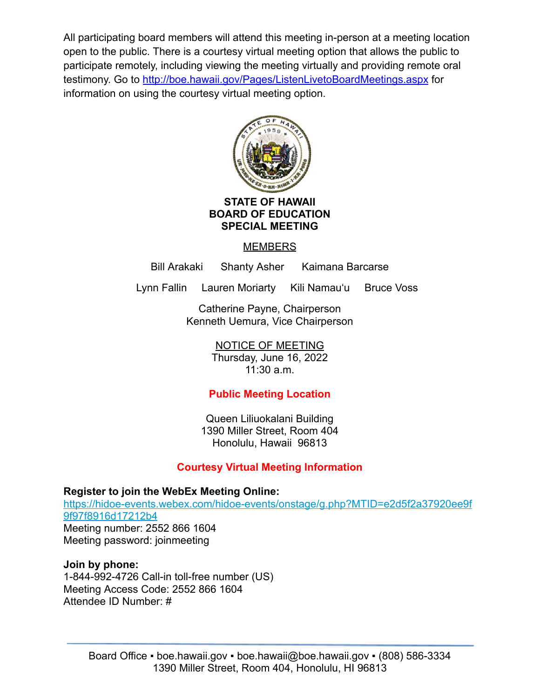All participating board members will attend this meeting in-person at a meeting location open to the public. There is a courtesy virtual meeting option that allows the public to participate remotely, including viewing the meeting virtually and providing remote oral testimony. Go to <http://boe.hawaii.gov/Pages/ListenLivetoBoardMeetings.aspx> for information on using the courtesy virtual meeting option.



### **STATE OF HAWAII BOARD OF EDUCATION SPECIAL MEETING**

## **MEMBERS**

Bill Arakaki Shanty Asher Kaimana Barcarse

Lynn Fallin Lauren Moriarty Kili Namauʻu Bruce Voss

Catherine Payne, Chairperson Kenneth Uemura, Vice Chairperson

NOTICE OF MEETING

Thursday, June 16, 2022 11:30 a.m.

# **Public Meeting Location**

Queen Liliuokalani Building 1390 Miller Street, Room 404 Honolulu, Hawaii 96813

# **Courtesy Virtual Meeting Information**

**Register to join the WebEx Meeting Online:** [https://hidoe-events.webex.com/hidoe-events/onstage/g.php?MTID=e2d5f2a37920ee9f](https://hidoe-events.webex.com/hidoe-events/onstage/g.php?MTID=e2d5f2a37920ee9f9f97f8916d17212b4) [9f97f8916d17212b4](https://hidoe-events.webex.com/hidoe-events/onstage/g.php?MTID=e2d5f2a37920ee9f9f97f8916d17212b4) Meeting number: 2552 866 1604 Meeting password: joinmeeting

## **Join by phone:**

1-844-992-4726 Call-in toll-free number (US) Meeting Access Code: 2552 866 1604 Attendee ID Number: #